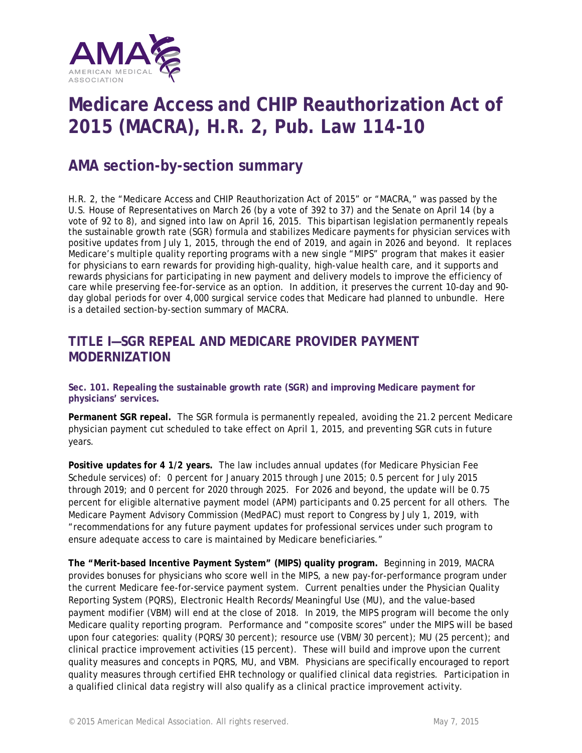

# **Medicare Access and CHIP Reauthorization Act of 2015 (MACRA), H.R. 2, Pub. Law 114-10**

# **AMA section-by-section summary**

H.R. 2, the "Medicare Access and CHIP Reauthorization Act of 2015" or "MACRA," was passed by the U.S. House of Representatives on March 26 (by a vote of 392 to 37) and the Senate on April 14 (by a vote of 92 to 8), and signed into law on April 16, 2015. This bipartisan legislation permanently repeals the sustainable growth rate (SGR) formula and stabilizes Medicare payments for physician services with positive updates from July 1, 2015, through the end of 2019, and again in 2026 and beyond. It replaces Medicare's multiple quality reporting programs with a new single "MIPS" program that makes it easier for physicians to earn rewards for providing high-quality, high-value health care, and it supports and rewards physicians for participating in new payment and delivery models to improve the efficiency of care while preserving fee-for-service as an option. In addition, it preserves the current 10-day and 90 day global periods for over 4,000 surgical service codes that Medicare had planned to unbundle. Here is a detailed section-by-section summary of MACRA.

# **TITLE I—SGR REPEAL AND MEDICARE PROVIDER PAYMENT MODERNIZATION**

**Sec. 101. Repealing the sustainable growth rate (SGR) and improving Medicare payment for physicians' services.**

**Permanent SGR repeal.** The SGR formula is permanently repealed, avoiding the 21.2 percent Medicare physician payment cut scheduled to take effect on April 1, 2015, and preventing SGR cuts in future years.

**Positive updates for 4 1/2 years.** The law includes annual updates (for Medicare Physician Fee Schedule services) of: 0 percent for January 2015 through June 2015; 0.5 percent for July 2015 through 2019; and 0 percent for 2020 through 2025. For 2026 and beyond, the update will be 0.75 percent for eligible alternative payment model (APM) participants and 0.25 percent for all others. The Medicare Payment Advisory Commission (MedPAC) must report to Congress by July 1, 2019, with "recommendations for any future payment updates for professional services under such program to ensure adequate access to care is maintained by Medicare beneficiaries."

**The "Merit-based Incentive Payment System" (MIPS) quality program.** Beginning in 2019, MACRA provides bonuses for physicians who score well in the MIPS, a new pay-for-performance program under the current Medicare fee-for-service payment system. Current penalties under the Physician Quality Reporting System (PQRS), Electronic Health Records/Meaningful Use (MU), and the value-based payment modifier (VBM) will end at the close of 2018. In 2019, the MIPS program will become the only Medicare quality reporting program. Performance and "composite scores" under the MIPS will be based upon four categories: quality (PQRS/30 percent); resource use (VBM/30 percent); MU (25 percent); and clinical practice improvement activities (15 percent). These will build and improve upon the current quality measures and concepts in PQRS, MU, and VBM. Physicians are specifically encouraged to report quality measures through certified EHR technology or qualified clinical data registries. Participation in a qualified clinical data registry will also qualify as a clinical practice improvement activity.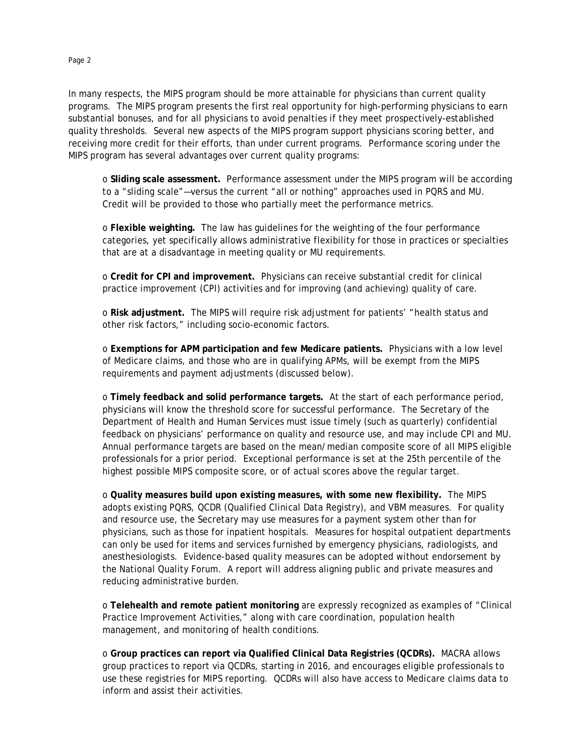In many respects, the MIPS program should be more attainable for physicians than current quality programs. The MIPS program presents the first real opportunity for high-performing physicians to earn substantial bonuses, and for all physicians to avoid penalties if they meet prospectively-established quality thresholds. Several new aspects of the MIPS program support physicians scoring better, and receiving more credit for their efforts, than under current programs. Performance scoring under the MIPS program has several advantages over current quality programs:

o **Sliding scale assessment.** Performance assessment under the MIPS program will be according to a "sliding scale"—versus the current "all or nothing" approaches used in PQRS and MU. Credit will be provided to those who partially meet the performance metrics.

o **Flexible weighting.** The law has guidelines for the weighting of the four performance categories, yet specifically allows administrative flexibility for those in practices or specialties that are at a disadvantage in meeting quality or MU requirements.

o **Credit for CPI and improvement.** Physicians can receive substantial credit for clinical practice improvement (CPI) activities and for improving (and achieving) quality of care.

o **Risk adjustment.** The MIPS will require risk adjustment for patients' "health status and other risk factors," including socio-economic factors.

o **Exemptions for APM participation and few Medicare patients.** Physicians with a low level of Medicare claims, and those who are in qualifying APMs, will be exempt from the MIPS requirements and payment adjustments (discussed below).

o **Timely feedback and solid performance targets.** At the start of each performance period, physicians will know the threshold score for successful performance. The Secretary of the Department of Health and Human Services must issue timely (such as quarterly) confidential feedback on physicians' performance on quality and resource use, and may include CPI and MU. Annual performance targets are based on the mean/median composite score of all MIPS eligible professionals for a prior period. Exceptional performance is set at the 25th percentile of the highest possible MIPS composite score, or of actual scores above the regular target.

o **Quality measures build upon existing measures, with some new flexibility.** The MIPS adopts existing PQRS, QCDR (Qualified Clinical Data Registry), and VBM measures. For quality and resource use, the Secretary may use measures for a payment system other than for physicians, such as those for inpatient hospitals. Measures for hospital outpatient departments can only be used for items and services furnished by emergency physicians, radiologists, and anesthesiologists. Evidence-based quality measures can be adopted without endorsement by the National Quality Forum. A report will address aligning public and private measures and reducing administrative burden.

o **Telehealth and remote patient monitoring** are expressly recognized as examples of "Clinical Practice Improvement Activities," along with care coordination, population health management, and monitoring of health conditions.

o **Group practices can report via Qualified Clinical Data Registries (QCDRs).** MACRA allows group practices to report via QCDRs, starting in 2016, and encourages eligible professionals to use these registries for MIPS reporting. QCDRs will also have access to Medicare claims data to inform and assist their activities.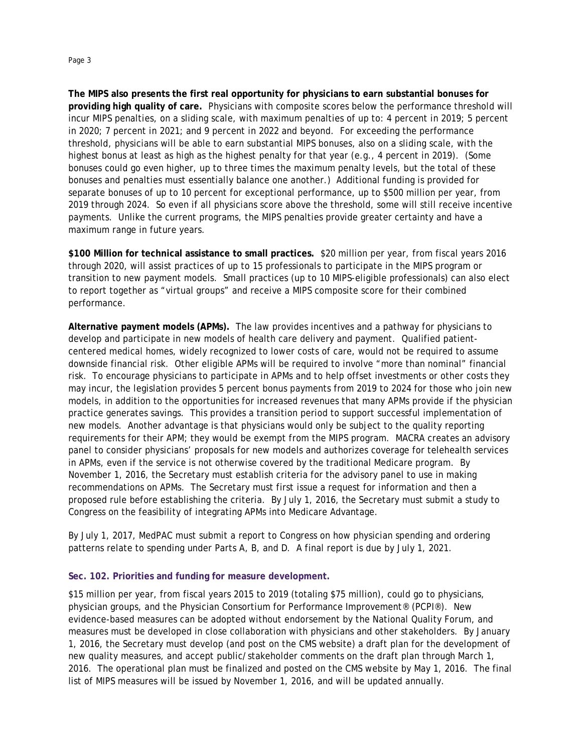**The MIPS also presents the first real opportunity for physicians to earn substantial bonuses for providing high quality of care.** Physicians with composite scores below the performance threshold will incur MIPS penalties, on a sliding scale, with maximum penalties of up to: 4 percent in 2019; 5 percent

in 2020; 7 percent in 2021; and 9 percent in 2022 and beyond. For exceeding the performance threshold, physicians will be able to earn substantial MIPS bonuses, also on a sliding scale, with the highest bonus at least as high as the highest penalty for that year (e.g., 4 percent in 2019). (Some bonuses could go even higher, up to three times the maximum penalty levels, but the total of these bonuses and penalties must essentially balance one another.) Additional funding is provided for separate bonuses of up to 10 percent for exceptional performance, up to \$500 million per year, from 2019 through 2024. So even if all physicians score above the threshold, some will still receive incentive payments. Unlike the current programs, the MIPS penalties provide greater certainty and have a maximum range in future years.

**\$100 Million for technical assistance to small practices.** \$20 million per year, from fiscal years 2016 through 2020, will assist practices of up to 15 professionals to participate in the MIPS program or transition to new payment models. Small practices (up to 10 MIPS-eligible professionals) can also elect to report together as "virtual groups" and receive a MIPS composite score for their combined performance.

**Alternative payment models (APMs).** The law provides incentives and a pathway for physicians to develop and participate in new models of health care delivery and payment. Qualified patientcentered medical homes, widely recognized to lower costs of care, would not be required to assume downside financial risk. Other eligible APMs will be required to involve "more than nominal" financial risk. To encourage physicians to participate in APMs and to help offset investments or other costs they may incur, the legislation provides 5 percent bonus payments from 2019 to 2024 for those who join new models, in addition to the opportunities for increased revenues that many APMs provide if the physician practice generates savings. This provides a transition period to support successful implementation of new models. Another advantage is that physicians would only be subject to the quality reporting requirements for their APM; they would be exempt from the MIPS program. MACRA creates an advisory panel to consider physicians' proposals for new models and authorizes coverage for telehealth services in APMs, even if the service is not otherwise covered by the traditional Medicare program. By November 1, 2016, the Secretary must establish criteria for the advisory panel to use in making recommendations on APMs. The Secretary must first issue a request for information and then a proposed rule before establishing the criteria. By July 1, 2016, the Secretary must submit a study to Congress on the feasibility of integrating APMs into Medicare Advantage.

By July 1, 2017, MedPAC must submit a report to Congress on how physician spending and ordering patterns relate to spending under Parts A, B, and D. A final report is due by July 1, 2021.

#### **Sec. 102. Priorities and funding for measure development.**

\$15 million per year, from fiscal years 2015 to 2019 (totaling \$75 million), could go to physicians, physician groups, and the Physician Consortium for Performance Improvement® (PCPI®). New evidence-based measures can be adopted without endorsement by the National Quality Forum, and measures must be developed in close collaboration with physicians and other stakeholders. By January 1, 2016, the Secretary must develop (and post on the CMS website) a draft plan for the development of new quality measures, and accept public/stakeholder comments on the draft plan through March 1, 2016. The operational plan must be finalized and posted on the CMS website by May 1, 2016. The final list of MIPS measures will be issued by November 1, 2016, and will be updated annually.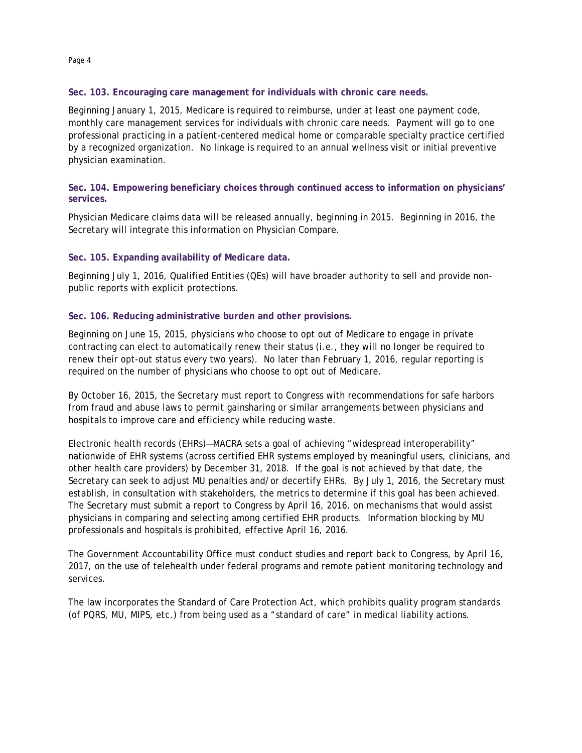#### **Sec. 103. Encouraging care management for individuals with chronic care needs.**

Beginning January 1, 2015, Medicare is required to reimburse, under at least one payment code, monthly care management services for individuals with chronic care needs. Payment will go to one professional practicing in a patient-centered medical home or comparable specialty practice certified by a recognized organization. No linkage is required to an annual wellness visit or initial preventive physician examination.

#### **Sec. 104. Empowering beneficiary choices through continued access to information on physicians' services.**

Physician Medicare claims data will be released annually, beginning in 2015. Beginning in 2016, the Secretary will integrate this information on Physician Compare.

#### **Sec. 105. Expanding availability of Medicare data.**

Beginning July 1, 2016, Qualified Entities (QEs) will have broader authority to sell and provide nonpublic reports with explicit protections.

#### **Sec. 106. Reducing administrative burden and other provisions.**

Beginning on June 15, 2015, physicians who choose to opt out of Medicare to engage in private contracting can elect to automatically renew their status (i.e., they will no longer be required to renew their opt-out status every two years). No later than February 1, 2016, regular reporting is required on the number of physicians who choose to opt out of Medicare.

By October 16, 2015, the Secretary must report to Congress with recommendations for safe harbors from fraud and abuse laws to permit gainsharing or similar arrangements between physicians and hospitals to improve care and efficiency while reducing waste.

Electronic health records (EHRs)—MACRA sets a goal of achieving "widespread interoperability" nationwide of EHR systems (across certified EHR systems employed by meaningful users, clinicians, and other health care providers) by December 31, 2018. If the goal is not achieved by that date, the Secretary can seek to adjust MU penalties and/or decertify EHRs. By July 1, 2016, the Secretary must establish, in consultation with stakeholders, the metrics to determine if this goal has been achieved. The Secretary must submit a report to Congress by April 16, 2016, on mechanisms that would assist physicians in comparing and selecting among certified EHR products. Information blocking by MU professionals and hospitals is prohibited, effective April 16, 2016.

The Government Accountability Office must conduct studies and report back to Congress, by April 16, 2017, on the use of telehealth under federal programs and remote patient monitoring technology and services.

The law incorporates the Standard of Care Protection Act, which prohibits quality program standards (of PQRS, MU, MIPS, etc.) from being used as a "standard of care" in medical liability actions.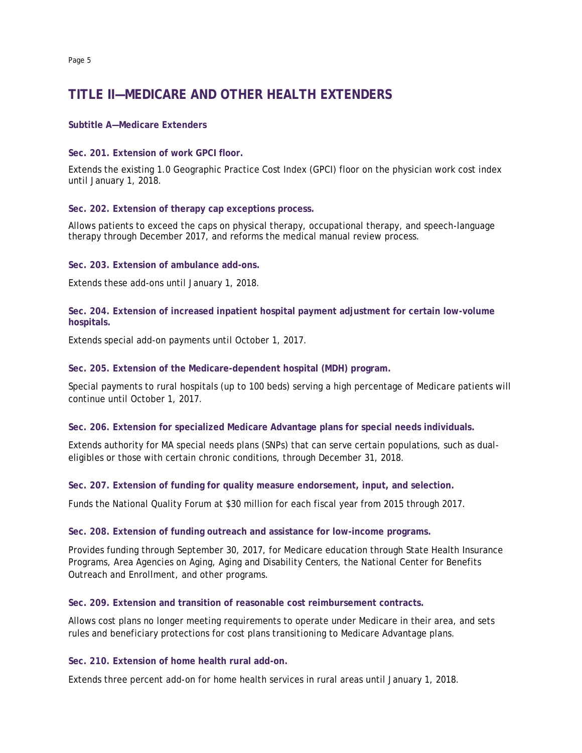# **TITLE II—MEDICARE AND OTHER HEALTH EXTENDERS**

#### **Subtitle A—Medicare Extenders**

**Sec. 201. Extension of work GPCI floor.**

Extends the existing 1.0 Geographic Practice Cost Index (GPCI) floor on the physician work cost index until January 1, 2018.

#### **Sec. 202. Extension of therapy cap exceptions process.**

Allows patients to exceed the caps on physical therapy, occupational therapy, and speech-language therapy through December 2017, and reforms the medical manual review process.

**Sec. 203. Extension of ambulance add-ons.** 

Extends these add-ons until January 1, 2018.

**Sec. 204. Extension of increased inpatient hospital payment adjustment for certain low-volume hospitals.** 

Extends special add-on payments until October 1, 2017.

**Sec. 205. Extension of the Medicare-dependent hospital (MDH) program.**

Special payments to rural hospitals (up to 100 beds) serving a high percentage of Medicare patients will continue until October 1, 2017.

#### **Sec. 206. Extension for specialized Medicare Advantage plans for special needs individuals.**

Extends authority for MA special needs plans (SNPs) that can serve certain populations, such as dualeligibles or those with certain chronic conditions, through December 31, 2018.

**Sec. 207. Extension of funding for quality measure endorsement, input, and selection.** 

Funds the National Quality Forum at \$30 million for each fiscal year from 2015 through 2017.

#### **Sec. 208. Extension of funding outreach and assistance for low-income programs.**

Provides funding through September 30, 2017, for Medicare education through State Health Insurance Programs, Area Agencies on Aging, Aging and Disability Centers, the National Center for Benefits Outreach and Enrollment, and other programs.

**Sec. 209. Extension and transition of reasonable cost reimbursement contracts.** 

Allows cost plans no longer meeting requirements to operate under Medicare in their area, and sets rules and beneficiary protections for cost plans transitioning to Medicare Advantage plans.

#### **Sec. 210. Extension of home health rural add-on.**

Extends three percent add-on for home health services in rural areas until January 1, 2018.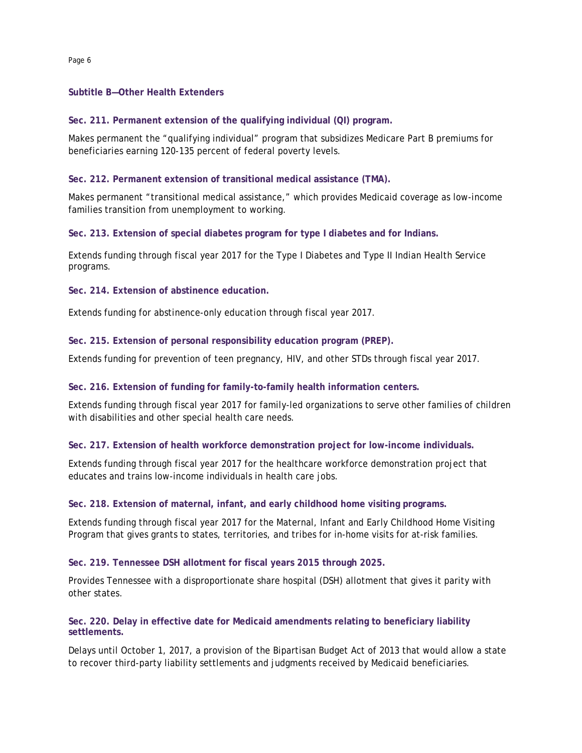#### **Subtitle B—Other Health Extenders**

**Sec. 211. Permanent extension of the qualifying individual (QI) program.** 

Makes permanent the "qualifying individual" program that subsidizes Medicare Part B premiums for beneficiaries earning 120-135 percent of federal poverty levels.

#### **Sec. 212. Permanent extension of transitional medical assistance (TMA).**

Makes permanent "transitional medical assistance," which provides Medicaid coverage as low-income families transition from unemployment to working.

**Sec. 213. Extension of special diabetes program for type I diabetes and for Indians.** 

Extends funding through fiscal year 2017 for the Type I Diabetes and Type II Indian Health Service programs.

**Sec. 214. Extension of abstinence education.**

Extends funding for abstinence-only education through fiscal year 2017.

#### **Sec. 215. Extension of personal responsibility education program (PREP).**

Extends funding for prevention of teen pregnancy, HIV, and other STDs through fiscal year 2017.

#### **Sec. 216. Extension of funding for family-to-family health information centers.**

Extends funding through fiscal year 2017 for family-led organizations to serve other families of children with disabilities and other special health care needs.

#### **Sec. 217. Extension of health workforce demonstration project for low-income individuals.**

Extends funding through fiscal year 2017 for the healthcare workforce demonstration project that educates and trains low-income individuals in health care jobs.

#### **Sec. 218. Extension of maternal, infant, and early childhood home visiting programs.**

Extends funding through fiscal year 2017 for the Maternal, Infant and Early Childhood Home Visiting Program that gives grants to states, territories, and tribes for in-home visits for at-risk families.

#### **Sec. 219. Tennessee DSH allotment for fiscal years 2015 through 2025.**

Provides Tennessee with a disproportionate share hospital (DSH) allotment that gives it parity with other states.

#### **Sec. 220. Delay in effective date for Medicaid amendments relating to beneficiary liability settlements.**

Delays until October 1, 2017, a provision of the Bipartisan Budget Act of 2013 that would allow a state to recover third-party liability settlements and judgments received by Medicaid beneficiaries.

Page 6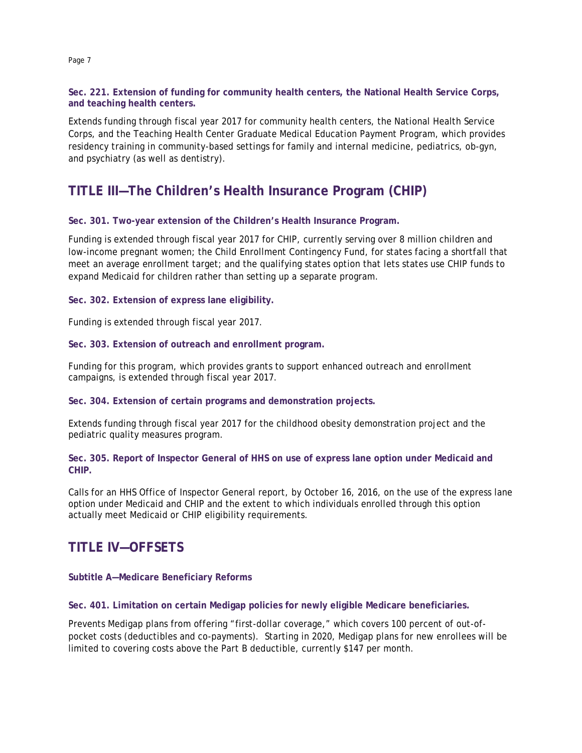**Sec. 221. Extension of funding for community health centers, the National Health Service Corps, and teaching health centers.** 

Extends funding through fiscal year 2017 for community health centers, the National Health Service Corps, and the Teaching Health Center Graduate Medical Education Payment Program, which provides residency training in community-based settings for family and internal medicine, pediatrics, ob-gyn, and psychiatry (as well as dentistry).

# **TITLE III—The Children's Health Insurance Program (CHIP)**

#### **Sec. 301. Two-year extension of the Children's Health Insurance Program.**

Funding is extended through fiscal year 2017 for CHIP, currently serving over 8 million children and low-income pregnant women; the Child Enrollment Contingency Fund, for states facing a shortfall that meet an average enrollment target; and the qualifying states option that lets states use CHIP funds to expand Medicaid for children rather than setting up a separate program.

**Sec. 302. Extension of express lane eligibility.**

Funding is extended through fiscal year 2017.

**Sec. 303. Extension of outreach and enrollment program.**

Funding for this program, which provides grants to support enhanced outreach and enrollment campaigns, is extended through fiscal year 2017.

**Sec. 304. Extension of certain programs and demonstration projects.**

Extends funding through fiscal year 2017 for the childhood obesity demonstration project and the pediatric quality measures program.

**Sec. 305. Report of Inspector General of HHS on use of express lane option under Medicaid and CHIP.** 

Calls for an HHS Office of Inspector General report, by October 16, 2016, on the use of the express lane option under Medicaid and CHIP and the extent to which individuals enrolled through this option actually meet Medicaid or CHIP eligibility requirements.

# **TITLE IV—OFFSETS**

**Subtitle A—Medicare Beneficiary Reforms**

**Sec. 401. Limitation on certain Medigap policies for newly eligible Medicare beneficiaries.** 

Prevents Medigap plans from offering "first-dollar coverage," which covers 100 percent of out-ofpocket costs (deductibles and co-payments). Starting in 2020, Medigap plans for new enrollees will be limited to covering costs above the Part B deductible, currently \$147 per month.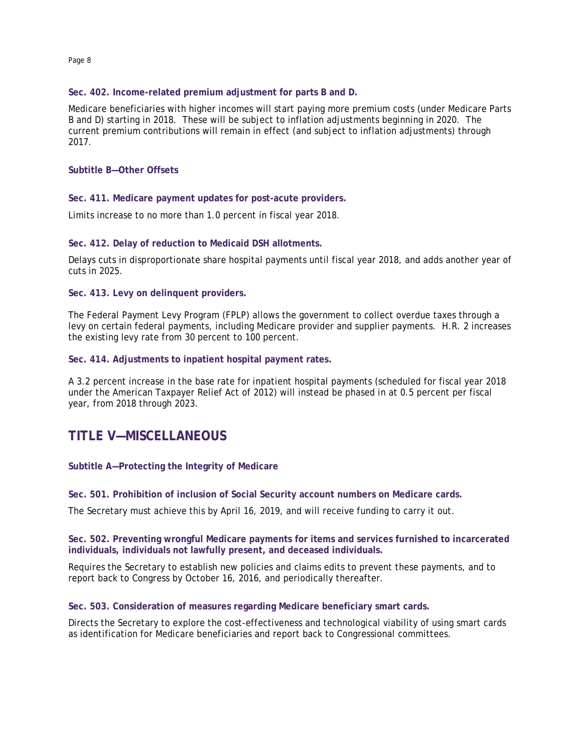Page 8

#### **Sec. 402. Income-related premium adjustment for parts B and D.**

Medicare beneficiaries with higher incomes will start paying more premium costs (under Medicare Parts B and D) starting in 2018. These will be subject to inflation adjustments beginning in 2020. The current premium contributions will remain in effect (and subject to inflation adjustments) through 2017.

#### **Subtitle B—Other Offsets**

**Sec. 411. Medicare payment updates for post-acute providers.** 

Limits increase to no more than 1.0 percent in fiscal year 2018.

#### **Sec. 412. Delay of reduction to Medicaid DSH allotments.**

Delays cuts in disproportionate share hospital payments until fiscal year 2018, and adds another year of cuts in 2025.

**Sec. 413. Levy on delinquent providers.** 

The Federal Payment Levy Program (FPLP) allows the government to collect overdue taxes through a levy on certain federal payments, including Medicare provider and supplier payments. H.R. 2 increases the existing levy rate from 30 percent to 100 percent.

**Sec. 414. Adjustments to inpatient hospital payment rates.**

A 3.2 percent increase in the base rate for inpatient hospital payments (scheduled for fiscal year 2018 under the American Taxpayer Relief Act of 2012) will instead be phased in at 0.5 percent per fiscal year, from 2018 through 2023.

# **TITLE V—MISCELLANEOUS**

#### **Subtitle A—Protecting the Integrity of Medicare**

**Sec. 501. Prohibition of inclusion of Social Security account numbers on Medicare cards.** 

The Secretary must achieve this by April 16, 2019, and will receive funding to carry it out.

#### **Sec. 502. Preventing wrongful Medicare payments for items and services furnished to incarcerated individuals, individuals not lawfully present, and deceased individuals.**

Requires the Secretary to establish new policies and claims edits to prevent these payments, and to report back to Congress by October 16, 2016, and periodically thereafter.

#### **Sec. 503. Consideration of measures regarding Medicare beneficiary smart cards.**

Directs the Secretary to explore the cost-effectiveness and technological viability of using smart cards as identification for Medicare beneficiaries and report back to Congressional committees.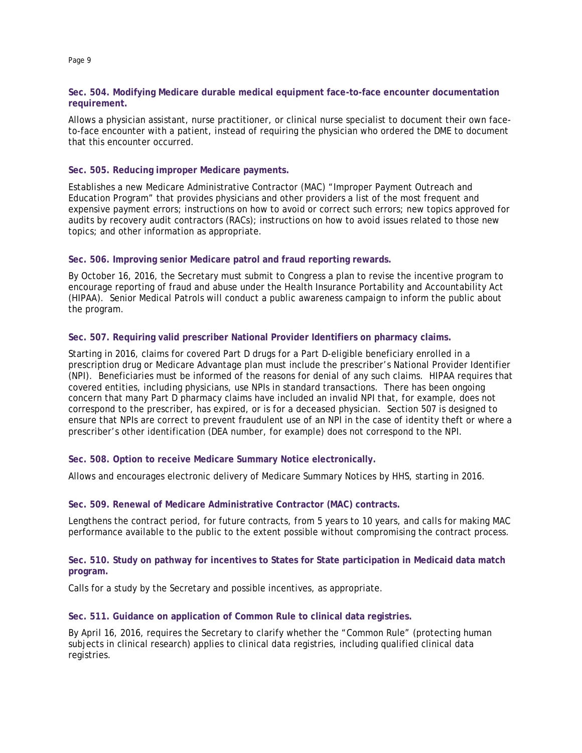#### **Sec. 504. Modifying Medicare durable medical equipment face-to-face encounter documentation requirement.**

Allows a physician assistant, nurse practitioner, or clinical nurse specialist to document their own faceto-face encounter with a patient, instead of requiring the physician who ordered the DME to document that this encounter occurred.

#### **Sec. 505. Reducing improper Medicare payments.**

Establishes a new Medicare Administrative Contractor (MAC) "Improper Payment Outreach and Education Program" that provides physicians and other providers a list of the most frequent and expensive payment errors; instructions on how to avoid or correct such errors; new topics approved for audits by recovery audit contractors (RACs); instructions on how to avoid issues related to those new topics; and other information as appropriate.

#### **Sec. 506. Improving senior Medicare patrol and fraud reporting rewards.**

By October 16, 2016, the Secretary must submit to Congress a plan to revise the incentive program to encourage reporting of fraud and abuse under the Health Insurance Portability and Accountability Act (HIPAA). Senior Medical Patrols will conduct a public awareness campaign to inform the public about the program.

#### **Sec. 507. Requiring valid prescriber National Provider Identifiers on pharmacy claims.**

Starting in 2016, claims for covered Part D drugs for a Part D-eligible beneficiary enrolled in a prescription drug or Medicare Advantage plan must include the prescriber's National Provider Identifier (NPI). Beneficiaries must be informed of the reasons for denial of any such claims. HIPAA requires that covered entities, including physicians, use NPIs in standard transactions. There has been ongoing concern that many Part D pharmacy claims have included an invalid NPI that, for example, does not correspond to the prescriber, has expired, or is for a deceased physician. Section 507 is designed to ensure that NPIs are correct to prevent fraudulent use of an NPI in the case of identity theft or where a prescriber's other identification (DEA number, for example) does not correspond to the NPI.

#### **Sec. 508. Option to receive Medicare Summary Notice electronically.**

Allows and encourages electronic delivery of Medicare Summary Notices by HHS, starting in 2016.

#### **Sec. 509. Renewal of Medicare Administrative Contractor (MAC) contracts.**

Lengthens the contract period, for future contracts, from 5 years to 10 years, and calls for making MAC performance available to the public to the extent possible without compromising the contract process.

#### **Sec. 510. Study on pathway for incentives to States for State participation in Medicaid data match program.**

Calls for a study by the Secretary and possible incentives, as appropriate.

#### **Sec. 511. Guidance on application of Common Rule to clinical data registries.**

By April 16, 2016, requires the Secretary to clarify whether the "Common Rule" (protecting human subjects in clinical research) applies to clinical data registries, including qualified clinical data registries.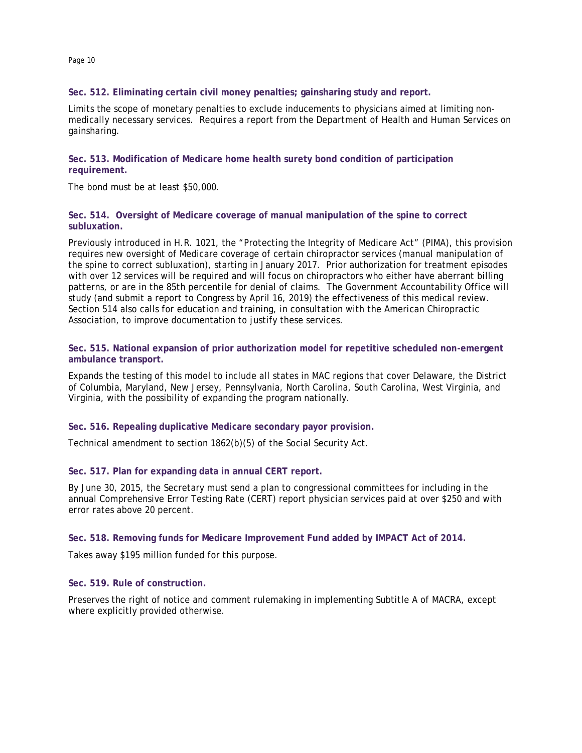#### **Sec. 512. Eliminating certain civil money penalties; gainsharing study and report.**

Limits the scope of monetary penalties to exclude inducements to physicians aimed at limiting nonmedically necessary services. Requires a report from the Department of Health and Human Services on gainsharing.

**Sec. 513. Modification of Medicare home health surety bond condition of participation requirement.** 

The bond must be at least \$50,000.

#### **Sec. 514. Oversight of Medicare coverage of manual manipulation of the spine to correct subluxation.**

Previously introduced in H.R. 1021, the "Protecting the Integrity of Medicare Act" (PIMA), this provision requires new oversight of Medicare coverage of certain chiropractor services (manual manipulation of the spine to correct subluxation), starting in January 2017. Prior authorization for treatment episodes with over 12 services will be required and will focus on chiropractors who either have aberrant billing patterns, or are in the 85th percentile for denial of claims. The Government Accountability Office will study (and submit a report to Congress by April 16, 2019) the effectiveness of this medical review. Section 514 also calls for education and training, in consultation with the American Chiropractic Association, to improve documentation to justify these services.

#### **Sec. 515. National expansion of prior authorization model for repetitive scheduled non-emergent ambulance transport.**

Expands the testing of this model to include all states in MAC regions that cover Delaware, the District of Columbia, Maryland, New Jersey, Pennsylvania, North Carolina, South Carolina, West Virginia, and Virginia, with the possibility of expanding the program nationally.

#### **Sec. 516. Repealing duplicative Medicare secondary payor provision.**

Technical amendment to section 1862(b)(5) of the Social Security Act.

#### **Sec. 517. Plan for expanding data in annual CERT report.**

By June 30, 2015, the Secretary must send a plan to congressional committees for including in the annual Comprehensive Error Testing Rate (CERT) report physician services paid at over \$250 and with error rates above 20 percent.

#### **Sec. 518. Removing funds for Medicare Improvement Fund added by IMPACT Act of 2014.**

Takes away \$195 million funded for this purpose.

#### **Sec. 519. Rule of construction.**

Preserves the right of notice and comment rulemaking in implementing Subtitle A of MACRA, except where explicitly provided otherwise.

Page 10